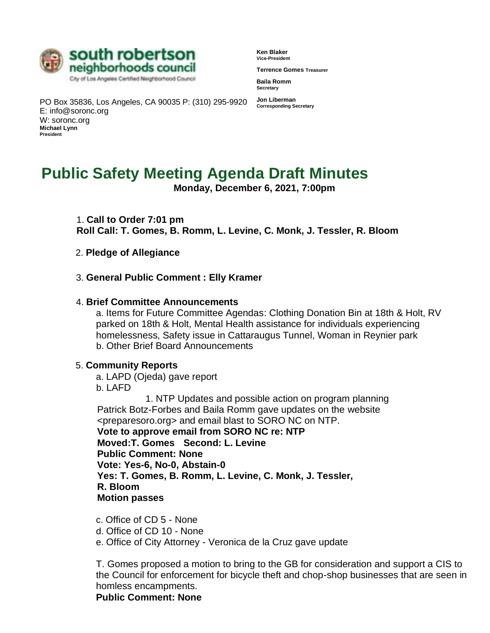

**Ken Blaker Vice-President** 

**Terrence Gomes Treasurer** 

**Baila Romm Secretary** 

PO Box 35836, Los Angeles, CA 90035 P: (310) 295-9920 **Jon Liberman Corresponding Secretary**  E: info@soronc.org W: soronc.org **Michael Lynn President** 

# **Public Safety Meeting Agenda Draft Minutes**

**Monday, December 6, 2021, 7:00pm** 

1. **Call to Order 7:01 pm Roll Call: T. Gomes, B. Romm, L. Levine, C. Monk, J. Tessler, R. Bloom**

- 2. **Pledge of Allegiance**
- 3. **General Public Comment : Elly Kramer**

#### 4. **Brief Committee Announcements**

a. Items for Future Committee Agendas: Clothing Donation Bin at 18th & Holt, RV parked on 18th & Holt, Mental Health assistance for individuals experiencing homelessness, Safety issue in Cattaraugus Tunnel, Woman in Reynier park b. Other Brief Board Announcements

#### 5. **Community Reports**

a. LAPD (Ojeda) gave report b. LAFD

1. NTP Updates and possible action on program planning Patrick Botz-Forbes and Baila Romm gave updates on the website <preparesoro.org> and email blast to SORO NC on NTP. **Vote to approve email from SORO NC re: NTP Moved:T. Gomes Second: L. Levine Public Comment: None Vote: Yes-6, No-0, Abstain-0 Yes: T. Gomes, B. Romm, L. Levine, C. Monk, J. Tessler, R. Bloom Motion passes**

- c. Office of CD 5 None
- d. Office of CD 10 None
- e. Office of City Attorney Veronica de la Cruz gave update

T. Gomes proposed a motion to bring to the GB for consideration and support a CIS to the Council for enforcement for bicycle theft and chop-shop businesses that are seen in homless encampments.

**Public Comment: None**